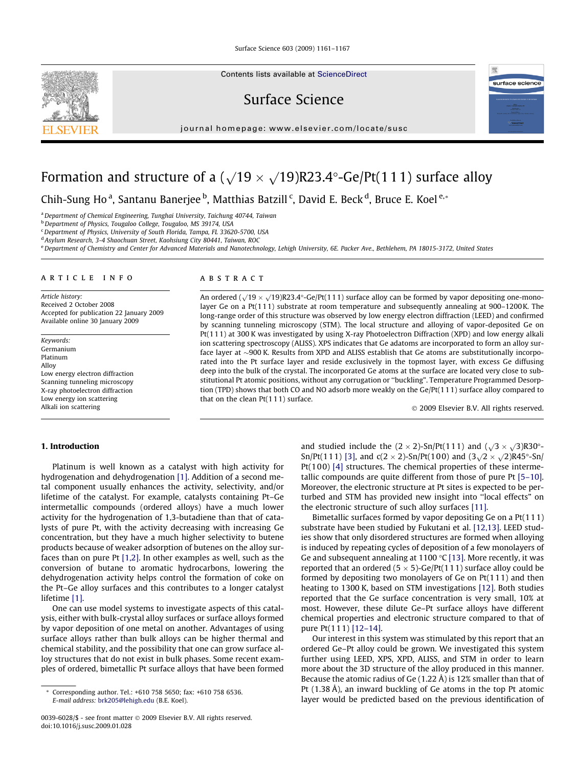Surface Science 603 (2009) 1161–1167



Contents lists available at [ScienceDirect](http://www.sciencedirect.com/science/journal/00396028)

Surface Science

journal homepage: [www.elsevier.com/locate/susc](http://www.elsevier.com/locate/susc)



# Formation and structure of a ( $\sqrt{19} \times \sqrt{19}$ )R23.4°-Ge/Pt(111) surface alloy

Chih-Sung Ho<sup>a</sup>, Santanu Banerjee <sup>b</sup>, Matthias Batzill <sup>c</sup>, David E. Beck <sup>d</sup>, Bruce E. Koel <sup>e,</sup>\*

<sup>a</sup> Department of Chemical Engineering, Tunghai University, Taichung 40744. Taiwan

b Department of Physics, Tougaloo College, Tougaloo, MS 39174, USA

<sup>c</sup> Department of Physics, University of South Florida, Tampa, FL 33620-5700, USA

<sup>d</sup> Asylum Research, 3-4 Shaochuan Street, Kaohsiung City 80441, Taiwan, ROC

e Department of Chemistry and Center for Advanced Materials and Nanotechnology, Lehigh University, 6E. Packer Ave., Bethlehem, PA 18015-3172, United States

#### article info

Article history: Received 2 October 2008 Accepted for publication 22 January 2009 Available online 30 January 2009

Keywords: Germanium Platinum Alloy Low energy electron diffraction Scanning tunneling microscopy X-ray photoelectron diffraction Low energy ion scattering Alkali ion scattering

## ABSTRACT

An ordered ( $\sqrt{19} \times \sqrt{19}$ )R23.4°-Ge/Pt(111) surface alloy can be formed by vapor depositing one-monolayer Ge on a Pt(11 1) substrate at room temperature and subsequently annealing at 900–1200K. The long-range order of this structure was observed by low energy electron diffraction (LEED) and confirmed by scanning tunneling microscopy (STM). The local structure and alloying of vapor-deposited Ge on Pt(11 1) at 300 K was investigated by using X-ray Photoelectron Diffraction (XPD) and low energy alkali ion scattering spectroscopy (ALISS). XPS indicates that Ge adatoms are incorporated to form an alloy surface layer at ~900 K. Results from XPD and ALISS establish that Ge atoms are substitutionally incorporated into the Pt surface layer and reside exclusively in the topmost layer, with excess Ge diffusing deep into the bulk of the crystal. The incorporated Ge atoms at the surface are located very close to substitutional Pt atomic positions, without any corrugation or ''buckling". Temperature Programmed Desorption (TPD) shows that both CO and NO adsorb more weakly on the Ge/Pt(1 1 1) surface alloy compared to that on the clean  $Pt(111)$  surface.

2009 Elsevier B.V. All rights reserved.

## 1. Introduction

Platinum is well known as a catalyst with high activity for hydrogenation and dehydrogenation [\[1\].](#page-6-0) Addition of a second metal component usually enhances the activity, selectivity, and/or lifetime of the catalyst. For example, catalysts containing Pt–Ge intermetallic compounds (ordered alloys) have a much lower activity for the hydrogenation of 1,3-butadiene than that of catalysts of pure Pt, with the activity decreasing with increasing Ge concentration, but they have a much higher selectivity to butene products because of weaker adsorption of butenes on the alloy surfaces than on pure Pt [\[1,2\].](#page-6-0) In other examples as well, such as the conversion of butane to aromatic hydrocarbons, lowering the dehydrogenation activity helps control the formation of coke on the Pt–Ge alloy surfaces and this contributes to a longer catalyst lifetime [\[1\]](#page-6-0).

One can use model systems to investigate aspects of this catalysis, either with bulk-crystal alloy surfaces or surface alloys formed by vapor deposition of one metal on another. Advantages of using surface alloys rather than bulk alloys can be higher thermal and chemical stability, and the possibility that one can grow surface alloy structures that do not exist in bulk phases. Some recent examples of ordered, bimetallic Pt surface alloys that have been formed

and studied include the  $(2 \times 2)$ -Sn/Pt(111) and  $(\sqrt{3} \times \sqrt{3})$ R30°-Sn/Pt(111) [\[3\]](#page-6-0), and c(2 × 2)-Sn/Pt(100) and  $(3\sqrt{2} \times \sqrt{2})$ R45°-Sn/ Pt(100) [\[4\]](#page-6-0) structures. The chemical properties of these intermetallic compounds are quite different from those of pure Pt [\[5–10\].](#page-6-0) Moreover, the electronic structure at Pt sites is expected to be perturbed and STM has provided new insight into ''local effects" on the electronic structure of such alloy surfaces [\[11\]](#page-6-0).

Bimetallic surfaces formed by vapor depositing Ge on a Pt(111) substrate have been studied by Fukutani et al. [\[12,13\].](#page-6-0) LEED studies show that only disordered structures are formed when alloying is induced by repeating cycles of deposition of a few monolayers of Ge and subsequent annealing at 1100  $\degree$ C [\[13\].](#page-6-0) More recently, it was reported that an ordered (5  $\times$  5)-Ge/Pt(111) surface alloy could be formed by depositing two monolayers of Ge on Pt(111) and then heating to 1300 K, based on STM investigations [\[12\].](#page-6-0) Both studies reported that the Ge surface concentration is very small, 10% at most. However, these dilute Ge–Pt surface alloys have different chemical properties and electronic structure compared to that of pure Pt(111) [\[12–14\].](#page-6-0)

Our interest in this system was stimulated by this report that an ordered Ge–Pt alloy could be grown. We investigated this system further using LEED, XPS, XPD, ALISS, and STM in order to learn more about the 3D structure of the alloy produced in this manner. Because the atomic radius of Ge (1.22 Å) is 12% smaller than that of Pt (1.38 Å), an inward buckling of Ge atoms in the top Pt atomic layer would be predicted based on the previous identification of

Corresponding author. Tel.: +610 758 5650; fax: +610 758 6536. E-mail address: [brk205@lehigh.edu](mailto:brk205@lehigh.edu) (B.E. Koel).

<sup>0039-6028/\$ -</sup> see front matter 2009 Elsevier B.V. All rights reserved. doi:10.1016/j.susc.2009.01.028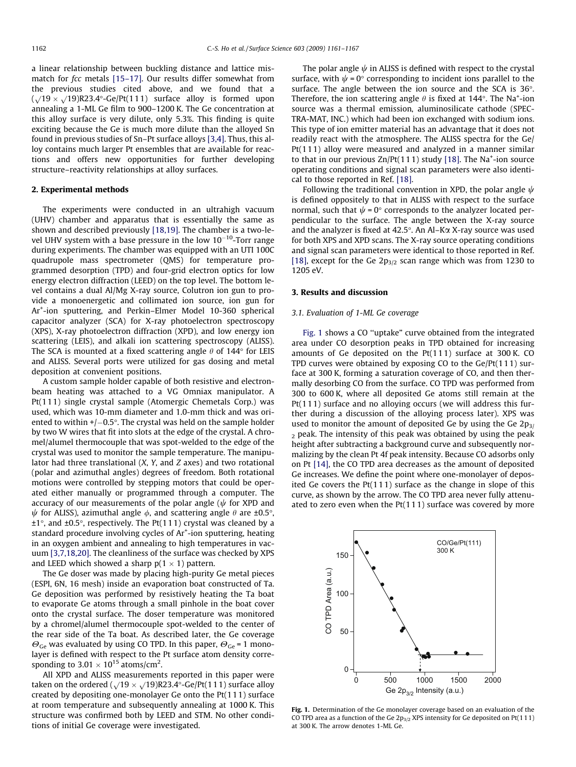a linear relationship between buckling distance and lattice mismatch for *fcc* metals [\[15–17\]](#page-6-0). Our results differ somewhat from the previous studies cited above, and we found that a  $(\sqrt{19} \times \sqrt{19})R23.4^{\circ}$ -Ge/Pt(111) surface alloy is formed upon annealing a 1-ML Ge film to 900–1200 K. The Ge concentration at this alloy surface is very dilute, only 5.3%. This finding is quite exciting because the Ge is much more dilute than the alloyed Sn found in previous studies of Sn–Pt surface alloys [\[3,4\].](#page-6-0) Thus, this alloy contains much larger Pt ensembles that are available for reactions and offers new opportunities for further developing structure–reactivity relationships at alloy surfaces.

# 2. Experimental methods

The experiments were conducted in an ultrahigh vacuum (UHV) chamber and apparatus that is essentially the same as shown and described previously [\[18,19\]](#page-6-0). The chamber is a two-level UHV system with a base pressure in the low  $10^{-10}$ -Torr range during experiments. The chamber was equipped with an UTI 100C quadrupole mass spectrometer (QMS) for temperature programmed desorption (TPD) and four-grid electron optics for low energy electron diffraction (LEED) on the top level. The bottom level contains a dual Al/Mg X-ray source, Colutron ion gun to provide a monoenergetic and collimated ion source, ion gun for Ar+ -ion sputtering, and Perkin–Elmer Model 10-360 spherical capacitor analyzer (SCA) for X-ray photoelectron spectroscopy (XPS), X-ray photoelectron diffraction (XPD), and low energy ion scattering (LEIS), and alkali ion scattering spectroscopy (ALISS). The SCA is mounted at a fixed scattering angle  $\theta$  of 144° for LEIS and ALISS. Several ports were utilized for gas dosing and metal deposition at convenient positions.

A custom sample holder capable of both resistive and electronbeam heating was attached to a VG Omniax manipulator. A Pt(111) single crystal sample (Atomergic Chemetals Corp.) was used, which was 10-mm diameter and 1.0-mm thick and was oriented to within +/ $-0.5^{\circ}$ . The crystal was held on the sample holder by two W wires that fit into slots at the edge of the crystal. A chromel/alumel thermocouple that was spot-welded to the edge of the crystal was used to monitor the sample temperature. The manipulator had three translational (X, Y, and Z axes) and two rotational (polar and azimuthal angles) degrees of freedom. Both rotational motions were controlled by stepping motors that could be operated either manually or programmed through a computer. The accuracy of our measurements of the polar angle ( $\psi$  for XPD and  $\psi$  for ALISS), azimuthal angle  $\phi$ , and scattering angle  $\theta$  are ±0.5°,  $\pm 1^{\circ}$ , and  $\pm 0.5^{\circ}$ , respectively. The Pt(111) crystal was cleaned by a standard procedure involving cycles of Ar<sup>+</sup>-ion sputtering, heating in an oxygen ambient and annealing to high temperatures in vacuum [\[3,7,18,20\]](#page-6-0). The cleanliness of the surface was checked by XPS and LEED which showed a sharp p(1  $\times$  1) pattern.

The Ge doser was made by placing high-purity Ge metal pieces (ESPI, 6N, 16 mesh) inside an evaporation boat constructed of Ta. Ge deposition was performed by resistively heating the Ta boat to evaporate Ge atoms through a small pinhole in the boat cover onto the crystal surface. The doser temperature was monitored by a chromel/alumel thermocouple spot-welded to the center of the rear side of the Ta boat. As described later, the Ge coverage  $\Theta_{\text{Ge}}$  was evaluated by using CO TPD. In this paper,  $\Theta_{\text{Ge}}$  = 1 monolayer is defined with respect to the Pt surface atom density corresponding to 3.01  $\times$  10<sup>15</sup> atoms/cm<sup>2</sup>.

All XPD and ALISS measurements reported in this paper were taken on the ordered  $(\sqrt{19} \times \sqrt{19})R23.4^{\circ}$ -Ge/Pt(111) surface alloy created by depositing one-monolayer Ge onto the Pt(111) surface at room temperature and subsequently annealing at 1000 K. This structure was confirmed both by LEED and STM. No other conditions of initial Ge coverage were investigated.

The polar angle  $\psi$  in ALISS is defined with respect to the crystal surface, with  $\psi$  = 0° corresponding to incident ions parallel to the surface. The angle between the ion source and the SCA is  $36^{\circ}$ . Therefore, the ion scattering angle  $\theta$  is fixed at 144°. The Na<sup>+</sup>-ion source was a thermal emission, aluminosilicate cathode (SPEC-TRA-MAT, INC.) which had been ion exchanged with sodium ions. This type of ion emitter material has an advantage that it does not readily react with the atmosphere. The ALISS spectra for the Ge/ Pt(111) alloy were measured and analyzed in a manner similar to that in our previous  $Zn/Pt(111)$  study [\[18\]](#page-6-0). The Na<sup>+</sup>-ion source operating conditions and signal scan parameters were also identical to those reported in Ref. [\[18\].](#page-6-0)

Following the traditional convention in XPD, the polar angle  $\psi$ is defined oppositely to that in ALISS with respect to the surface normal, such that  $\psi = 0^{\circ}$  corresponds to the analyzer located perpendicular to the surface. The angle between the X-ray source and the analyzer is fixed at  $42.5^{\circ}$ . An Al-K $\alpha$  X-ray source was used for both XPS and XPD scans. The X-ray source operating conditions and signal scan parameters were identical to those reported in Ref. [\[18\]](#page-6-0), except for the Ge  $2p_{3/2}$  scan range which was from 1230 to 1205 eV.

### 3. Results and discussion

#### 3.1. Evaluation of 1-ML Ge coverage

Fig. 1 shows a CO ''uptake" curve obtained from the integrated area under CO desorption peaks in TPD obtained for increasing amounts of Ge deposited on the Pt(111) surface at 300 K. CO TPD curves were obtained by exposing CO to the Ge/Pt(111) surface at 300 K, forming a saturation coverage of CO, and then thermally desorbing CO from the surface. CO TPD was performed from 300 to 600 K, where all deposited Ge atoms still remain at the Pt(111) surface and no alloying occurs (we will address this further during a discussion of the alloying process later). XPS was used to monitor the amount of deposited Ge by using the Ge  $2p_{3/2}$  $2$  peak. The intensity of this peak was obtained by using the peak height after subtracting a background curve and subsequently normalizing by the clean Pt 4f peak intensity. Because CO adsorbs only on Pt [\[14\],](#page-6-0) the CO TPD area decreases as the amount of deposited Ge increases. We define the point where one-monolayer of deposited Ge covers the Pt(111) surface as the change in slope of this curve, as shown by the arrow. The CO TPD area never fully attenuated to zero even when the Pt(111) surface was covered by more



Fig. 1. Determination of the Ge monolayer coverage based on an evaluation of the CO TPD area as a function of the Ge  $2p_{3/2}$  XPS intensity for Ge deposited on Pt(111) at 300 K. The arrow denotes 1-ML Ge.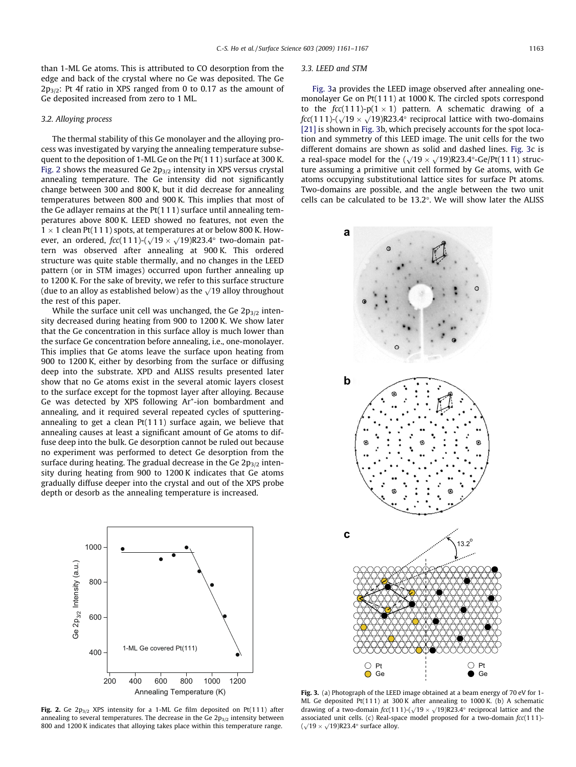than 1-ML Ge atoms. This is attributed to CO desorption from the edge and back of the crystal where no Ge was deposited. The Ge  $2p_{3/2}$ : Pt 4f ratio in XPS ranged from 0 to 0.17 as the amount of Ge deposited increased from zero to 1 ML.

## 3.2. Alloying process

The thermal stability of this Ge monolayer and the alloying process was investigated by varying the annealing temperature subsequent to the deposition of 1-ML Ge on the Pt(111) surface at 300 K. Fig. 2 shows the measured Ge  $2p_{3/2}$  intensity in XPS versus crystal annealing temperature. The Ge intensity did not significantly change between 300 and 800 K, but it did decrease for annealing temperatures between 800 and 900 K. This implies that most of the Ge adlayer remains at the Pt(111) surface until annealing temperatures above 800 K. LEED showed no features, not even the  $1 \times 1$  clean Pt(111) spots, at temperatures at or below 800 K. However, an ordered,  $fcc(111)$ - $\sqrt{19} \times \sqrt{19}$ )R23.4° two-domain pattern was observed after annealing at 900 K. This ordered structure was quite stable thermally, and no changes in the LEED pattern (or in STM images) occurred upon further annealing up to 1200 K. For the sake of brevity, we refer to this surface structure (due to an alloy as established below) as the  $\sqrt{19}$  alloy throughout the rest of this paper.

While the surface unit cell was unchanged, the Ge  $2p_{3/2}$  intensity decreased during heating from 900 to 1200 K. We show later that the Ge concentration in this surface alloy is much lower than the surface Ge concentration before annealing, i.e., one-monolayer. This implies that Ge atoms leave the surface upon heating from 900 to 1200 K, either by desorbing from the surface or diffusing deep into the substrate. XPD and ALISS results presented later show that no Ge atoms exist in the several atomic layers closest to the surface except for the topmost layer after alloying. Because Ge was detected by XPS following Ar<sup>+</sup>-ion bombardment and annealing, and it required several repeated cycles of sputteringannealing to get a clean  $Pt(111)$  surface again, we believe that annealing causes at least a significant amount of Ge atoms to diffuse deep into the bulk. Ge desorption cannot be ruled out because no experiment was performed to detect Ge desorption from the surface during heating. The gradual decrease in the Ge  $2p_{3/2}$  intensity during heating from 900 to 1200 K indicates that Ge atoms gradually diffuse deeper into the crystal and out of the XPS probe depth or desorb as the annealing temperature is increased.



Fig. 2. Ge  $2p_{3/2}$  XPS intensity for a 1-ML Ge film deposited on Pt(111) after annealing to several temperatures. The decrease in the Ge  $2p_{3/2}$  intensity between 800 and 1200 K indicates that alloying takes place within this temperature range.

#### 3.3. LEED and STM

Fig. 3a provides the LEED image observed after annealing onemonolayer Ge on Pt(111) at 1000 K. The circled spots correspond to the  $\textit{fcc}(1\,1\,1)$ -p $(1\times1)$  pattern. A schematic drawing of a fcc(111)-( $\sqrt{19} \times \sqrt{19}$ )R23.4° reciprocal lattice with two-domains [\[21\]](#page-6-0) is shown in Fig. 3b, which precisely accounts for the spot location and symmetry of this LEED image. The unit cells for the two different domains are shown as solid and dashed lines. Fig. 3c is a real-space model for the  $(\sqrt{19} \times \sqrt{19})R23.4^{\circ}$ -Ge/Pt(111) structure assuming a primitive unit cell formed by Ge atoms, with Ge atoms occupying substitutional lattice sites for surface Pt atoms. Two-domains are possible, and the angle between the two unit cells can be calculated to be  $13.2^{\circ}$ . We will show later the ALISS



Fig. 3. (a) Photograph of the LEED image obtained at a beam energy of 70 eV for 1-ML Ge deposited Pt(11 1) at 300 K after annealing to 1000 K. (b) A schematic drawing of a two-domain  $fcc(111)$ -( $\sqrt{19} \times \sqrt{19}$ )R23.4° reciprocal lattice and the associated unit cells. (c) Real-space model proposed for a two-domain  $fcc(111)$ - $(\sqrt{19} \times \sqrt{19})R23.4^{\circ}$  surface alloy.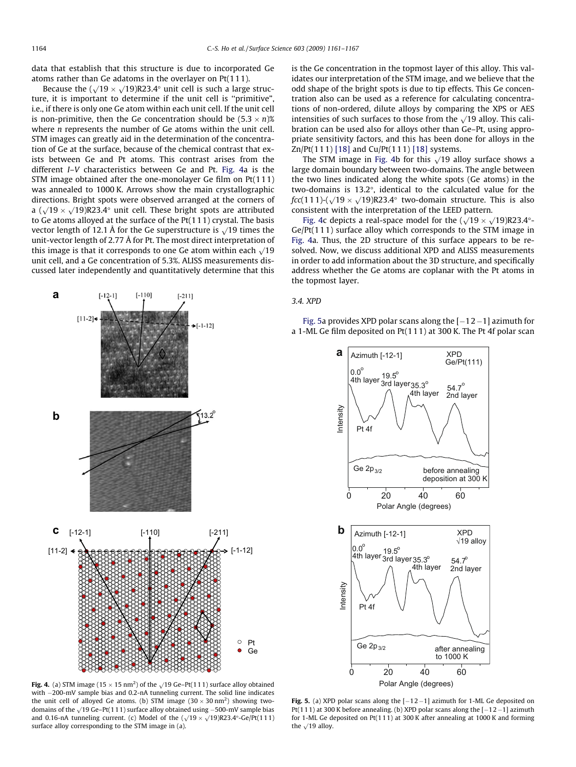<span id="page-3-0"></span>data that establish that this structure is due to incorporated Ge atoms rather than Ge adatoms in the overlayer on Pt(111).

Because the  $(\sqrt{19} \times \sqrt{19})R23.4^{\circ}$  unit cell is such a large structure, it is important to determine if the unit cell is ''primitive", i.e., if there is only one Ge atom within each unit cell. If the unit cell is non-primitive, then the Ge concentration should be (5.3  $\times$  n)% where *n* represents the number of Ge atoms within the unit cell. STM images can greatly aid in the determination of the concentration of Ge at the surface, because of the chemical contrast that exists between Ge and Pt atoms. This contrast arises from the different I–V characteristics between Ge and Pt. Fig. 4a is the STM image obtained after the one-monolayer Ge film on Pt(111) was annealed to 1000 K. Arrows show the main crystallographic directions. Bright spots were observed arranged at the corners of a  $(\sqrt{19} \times \sqrt{19})R23.4^{\circ}$  unit cell. These bright spots are attributed to Ge atoms alloyed at the surface of the Pt(111) crystal. The basis vector length of 12.1 Å for the Ge superstructure is  $\sqrt{19}$  times the unit-vector length of 2.77 Å for Pt. The most direct interpretation of this image is that it corresponds to one Ge atom within each  $\sqrt{19}$ unit cell, and a Ge concentration of 5.3%. ALISS measurements discussed later independently and quantitatively determine that this



is the Ge concentration in the topmost layer of this alloy. This validates our interpretation of the STM image, and we believe that the odd shape of the bright spots is due to tip effects. This Ge concentration also can be used as a reference for calculating concentrations of non-ordered, dilute alloys by comparing the XPS or AES intensities of such surfaces to those from the  $\sqrt{19}$  alloy. This calibration can be used also for alloys other than Ge–Pt, using appropriate sensitivity factors, and this has been done for alloys in the Zn/Pt(111) [\[18\]](#page-6-0) and Cu/Pt(1 11) [\[18\]](#page-6-0) systems.

The STM image in Fig. 4b for this  $\sqrt{19}$  alloy surface shows a large domain boundary between two-domains. The angle between the two lines indicated along the white spots (Ge atoms) in the two-domains is  $13.2^{\circ}$ , identical to the calculated value for the  $fcc(111)-(\sqrt{19} \times \sqrt{19})R23.4^{\circ}$  two-domain structure. This is also consistent with the interpretation of the LEED pattern.

Fig. 4c depicts a real-space model for the  $(\sqrt{19} \times \sqrt{19})R23.4^{\circ}$ Ge/Pt(111) surface alloy which corresponds to the STM image in Fig. 4a. Thus, the 2D structure of this surface appears to be resolved. Now, we discuss additional XPD and ALISS measurements in order to add information about the 3D structure, and specifically address whether the Ge atoms are coplanar with the Pt atoms in the topmost layer.

## 3.4. XPD

Fig. 5a provides XPD polar scans along the  $[-12-1]$  azimuth for a 1-ML Ge film deposited on Pt(111) at 300 K. The Pt 4f polar scan



**Fig. 4.** (a) STM image (15  $\times$  15 nm<sup>2</sup>) of the  $\sqrt{19}$  Ge–Pt(111) surface alloy obtained with  $-200$ -mV sample bias and 0.2-nA tunneling current. The solid line indicates the unit cell of alloyed Ge atoms. (b) STM image (30  $\times$  30 nm<sup>2</sup>) showing twodomains of the  $\sqrt{19}$  Ge–Pt(111) surface alloy obtained using -500-mV sample bias and 0.16-nA tunneling current. (c) Model of the  $(\sqrt{19} \times \sqrt{19})R23.4^{\circ}$ -Ge/Pt(111) surface alloy corresponding to the STM image in (a).

Fig. 5. (a) XPD polar scans along the  $[-12-1]$  azimuth for 1-ML Ge deposited on Pt(111) at 300 K before annealing. (b) XPD polar scans along the  $[-12-1]$  azimuth for 1-ML Ge deposited on Pt(1 11) at 300 K after annealing at 1000 K and forming the  $\sqrt{19}$  alloy.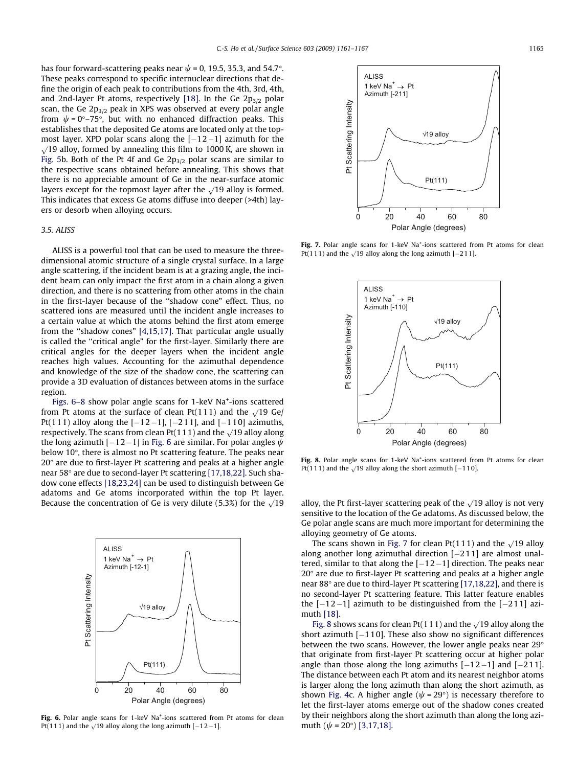has four forward-scattering peaks near  $\psi$  = 0, 19.5, 35.3, and 54.7°. These peaks correspond to specific internuclear directions that define the origin of each peak to contributions from the 4th, 3rd, 4th, and 2nd-layer Pt atoms, respectively [\[18\]](#page-6-0). In the Ge  $2p_{3/2}$  polar scan, the Ge  $2p_{3/2}$  peak in XPS was observed at every polar angle from  $\psi$  = 0°–75°, but with no enhanced diffraction peaks. This establishes that the deposited Ge atoms are located only at the topmost layer. XPD polar scans along the  $[-12-1]$  azimuth for the  $\sqrt{19}$  alloy, formed by annealing this film to 1000 K, are shown in [Fig. 5b](#page-3-0). Both of the Pt 4f and Ge  $2p_{3/2}$  polar scans are similar to the respective scans obtained before annealing. This shows that there is no appreciable amount of Ge in the near-surface atomic layers except for the topmost layer after the  $\sqrt{19}$  alloy is formed. This indicates that excess Ge atoms diffuse into deeper (>4th) layers or desorb when alloying occurs.

## 3.5. ALISS

ALISS is a powerful tool that can be used to measure the threedimensional atomic structure of a single crystal surface. In a large angle scattering, if the incident beam is at a grazing angle, the incident beam can only impact the first atom in a chain along a given direction, and there is no scattering from other atoms in the chain in the first-layer because of the ''shadow cone" effect. Thus, no scattered ions are measured until the incident angle increases to a certain value at which the atoms behind the first atom emerge from the ''shadow cones" [\[4,15,17\]](#page-6-0). That particular angle usually is called the ''critical angle" for the first-layer. Similarly there are critical angles for the deeper layers when the incident angle reaches high values. Accounting for the azimuthal dependence and knowledge of the size of the shadow cone, the scattering can provide a 3D evaluation of distances between atoms in the surface region.

Figs. 6-8 show polar angle scans for 1-keV Na<sup>+</sup>-ions scattered from Pt atoms at the surface of clean Pt(111) and the  $\sqrt{19}$  Ge/ Pt(111) alloy along the  $[-12-1]$ ,  $[-211]$ , and  $[-110]$  azimuths, respectively. The scans from clean Pt(111) and the  $\sqrt{19}$  alloy along the long azimuth  $[-12-1]$  in Fig. 6 are similar. For polar angles  $\psi$ below 10°, there is almost no Pt scattering feature. The peaks near  $20^{\circ}$  are due to first-layer Pt scattering and peaks at a higher angle near 58° are due to second-layer Pt scattering [\[17,18,22\]](#page-6-0). Such shadow cone effects [\[18,23,24\]](#page-6-0) can be used to distinguish between Ge adatoms and Ge atoms incorporated within the top Pt layer. Because the concentration of Ge is very dilute (5.3%) for the  $\sqrt{19}$  alloy, the Pt first-layer scattering peak of the  $\sqrt{19}$  alloy is not very



Fig. 6. Polar angle scans for 1-keV Na<sup>+</sup>-ions scattered from Pt atoms for clean Pt(111) and the  $\sqrt{19}$  alloy along the long azimuth [-12-1].



Fig. 7. Polar angle scans for 1-keV Na<sup>+</sup>-ions scattered from Pt atoms for clean Pt(111) and the  $\sqrt{19}$  alloy along the long azimuth [-211].



Fig. 8. Polar angle scans for 1-keV Na<sup>+</sup>-ions scattered from Pt atoms for clean Pt(111) and the  $\sqrt{19}$  alloy along the short azimuth [-110].

sensitive to the location of the Ge adatoms. As discussed below, the Ge polar angle scans are much more important for determining the alloying geometry of Ge atoms.

The scans shown in Fig. 7 for clean Pt(111) and the  $\sqrt{19}$  alloy along another long azimuthal direction  $[-211]$  are almost unaltered, similar to that along the  $[-12-1]$  direction. The peaks near  $20^{\circ}$  are due to first-layer Pt scattering and peaks at a higher angle near 88° are due to third-layer Pt scattering [\[17,18,22\],](#page-6-0) and there is no second-layer Pt scattering feature. This latter feature enables the  $[-12-1]$  azimuth to be distinguished from the  $[-211]$  azimuth [\[18\]](#page-6-0).

Fig. 8 shows scans for clean Pt(111) and the  $\sqrt{19}$  alloy along the short azimuth  $[-1 1 0]$ . These also show no significant differences between the two scans. However, the lower angle peaks near 29 $\circ$ that originate from first-layer Pt scattering occur at higher polar angle than those along the long azimuths  $[-12-1]$  and  $[-211]$ . The distance between each Pt atom and its nearest neighbor atoms is larger along the long azimuth than along the short azimuth, as shown [Fig. 4](#page-3-0)c. A higher angle ( $\psi$  = 29°) is necessary therefore to let the first-layer atoms emerge out of the shadow cones created by their neighbors along the short azimuth than along the long azimuth  $(\psi = 20^{\circ})$  [\[3,17,18\].](#page-6-0)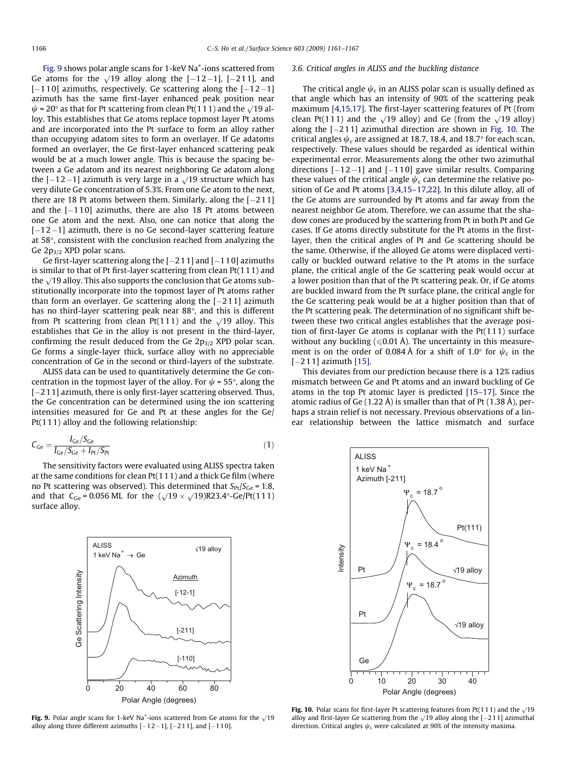Fig. 9 shows polar angle scans for 1-keV Na<sup>+</sup>-ions scattered from Ge atoms for the  $\sqrt{19}$  alloy along the  $[-12-1]$ ,  $[-211]$ , and  $[-110]$  azimuths, respectively. Ge scattering along the  $[-12-1]$ azimuth has the same first-layer enhanced peak position near  $\psi$  = 20° as that for Pt scattering from clean Pt(111) and the  $\sqrt{19}$  alloy. This establishes that Ge atoms replace topmost layer Pt atoms and are incorporated into the Pt surface to form an alloy rather than occupying adatom sites to form an overlayer. If Ge adatoms formed an overlayer, the Ge first-layer enhanced scattering peak would be at a much lower angle. This is because the spacing between a Ge adatom and its nearest neighboring Ge adatom along the  $[-12-1]$  azimuth is very large in a  $\sqrt{19}$  structure which has very dilute Ge concentration of 5.3%. From one Ge atom to the next, there are 18 Pt atoms between them. Similarly, along the  $[-211]$ and the  $[-110]$  azimuths, there are also 18 Pt atoms between one Ge atom and the next. Also, one can notice that along the  $[-12-1]$  azimuth, there is no Ge second-layer scattering feature at 58°, consistent with the conclusion reached from analyzing the Ge  $2p_{3/2}$  XPD polar scans.

Ge first-layer scattering along the  $[-211]$  and  $[-110]$  azimuths is similar to that of Pt first-layer scattering from clean Pt(111) and the  $\sqrt{19}$  alloy. This also supports the conclusion that Ge atoms substitutionally incorporate into the topmost layer of Pt atoms rather than form an overlayer. Ge scattering along the  $[-211]$  azimuth has no third-layer scattering peak near 88°, and this is different from Pt scattering from clean Pt(111) and the  $\sqrt{19}$  alloy. This establishes that Ge in the alloy is not present in the third-layer, confirming the result deduced from the Ge  $2p_{3/2}$  XPD polar scan. Ge forms a single-layer thick, surface alloy with no appreciable concentration of Ge in the second or third-layers of the substrate.

ALISS data can be used to quantitatively determine the Ge concentration in the topmost layer of the alloy. For  $\psi$  = 55°, along the  $[-211]$  azimuth, there is only first-layer scattering observed. Thus, the Ge concentration can be determined using the ion scattering intensities measured for Ge and Pt at these angles for the Ge/ Pt(111) alloy and the following relationship:

$$
C_{\rm Ge} = \frac{I_{\rm Ge}/S_{\rm Ge}}{I_{\rm Ge}/S_{\rm Ce} + I_{\rm Pt}/S_{\rm Pt}}\tag{1}
$$

The sensitivity factors were evaluated using ALISS spectra taken at the same conditions for clean Pt(111) and a thick Ge film (where no Pt scattering was observed). This determined that  $S_{Pt}/S_{Ge} = 1.8$ , and that  $C_{\text{Ge}} = 0.056 \text{ ML}$  for the  $(\sqrt{19} \times \sqrt{19})R23.4^{\circ}$ -Ge/Pt(111) surface alloy.



Fig. 9. Polar angle scans for 1-keV Na<sup>+</sup>-ions scattered from Ge atoms for the  $\sqrt{19}$ alloy along three different azimuths  $[-12-1]$ ,  $[-211]$ , and  $[-110]$ .

## 3.6. Critical angles in ALISS and the buckling distance

The critical angle  $\psi_c$  in an ALISS polar scan is usually defined as that angle which has an intensity of 90% of the scattering peak maximum [\[4,15,17\].](#page-6-0) The first-layer scattering features of Pt (from clean Pt(111) and the  $\sqrt{19}$  alloy) and Ge (from the  $\sqrt{19}$  alloy) along the  $[-211]$  azimuthal direction are shown in Fig. 10. The critical angles  $\psi_c$  are assigned at 18.7, 18.4, and 18.7 $^{\circ}$  for each scan, respectively. These values should be regarded as identical within experimental error. Measurements along the other two azimuthal directions  $[-12-1]$  and  $[-110]$  gave similar results. Comparing these values of the critical angle  $\psi_c$  can determine the relative position of Ge and Pt atoms [\[3,4,15–17,22\]](#page-6-0). In this dilute alloy, all of the Ge atoms are surrounded by Pt atoms and far away from the nearest neighbor Ge atom. Therefore, we can assume that the shadow cones are produced by the scattering from Pt in both Pt and Ge cases. If Ge atoms directly substitute for the Pt atoms in the firstlayer, then the critical angles of Pt and Ge scattering should be the same. Otherwise, if the alloyed Ge atoms were displaced vertically or buckled outward relative to the Pt atoms in the surface plane, the critical angle of the Ge scattering peak would occur at a lower position than that of the Pt scattering peak. Or, if Ge atoms are buckled inward from the Pt surface plane, the critical angle for the Ge scattering peak would be at a higher position than that of the Pt scattering peak. The determination of no significant shift between these two critical angles establishes that the average position of first-layer Ge atoms is coplanar with the Pt(111) surface without any buckling ( $\leq 0.01$  Å). The uncertainty in this measurement is on the order of 0.084 Å for a shift of 1.0 $^{\circ}$  for  $\psi_c$  in the  $[-211]$  azimuth  $[15]$ .

This deviates from our prediction because there is a 12% radius mismatch between Ge and Pt atoms and an inward buckling of Ge atoms in the top Pt atomic layer is predicted [\[15–17\].](#page-6-0) Since the atomic radius of Ge (1.22 Å) is smaller than that of Pt (1.38 Å), perhaps a strain relief is not necessary. Previous observations of a linear relationship between the lattice mismatch and surface



Fig. 10. Polar scans for first-layer Pt scattering features from Pt(111) and the  $\sqrt{19}$ alloy and first-layer Ge scattering from the  $\sqrt{19}$  alloy along the [-211] azimuthal direction. Critical angles  $\psi_c$  were calculated at 90% of the intensity maxima.